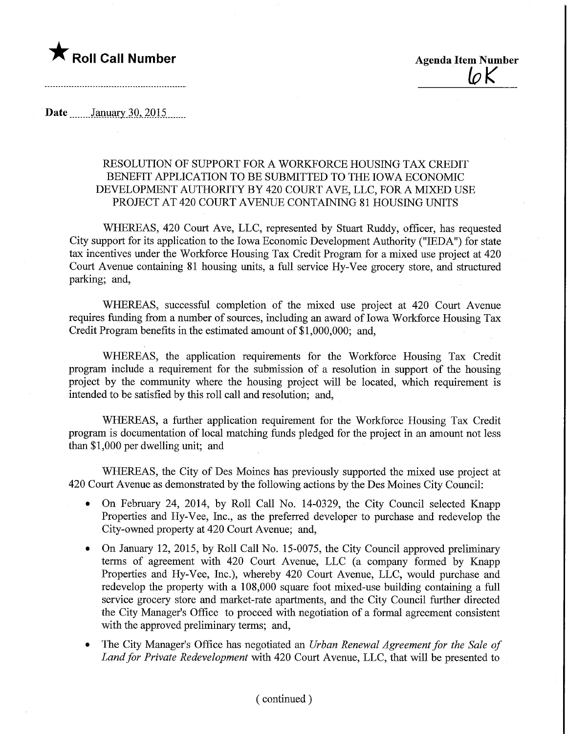

 $10K$ 

Date  $January\,30,2015$ 

## RESOLUTION OF SUPPORT FOR A WORKFORCE HOUSING TAX CREDIT BENEFIT APPLICATION TO BE SUBMITTED TO THE IOWA ECONOMIC DEVELOPMENT AUTHORITY BY 420 COURT AVE, LLC, FOR A MIXED USE PROJECT AT 420 COURT AVENUE CONTAINING 81 HOUSING UNITS

WHEREAS, 420 Court Ave, LLC, represented by Stuart Ruddy, officer, has requested City support for its application to the Iowa Economic Development Authority ("IEDA") for state tax incentives under the Workforce Housing Tax Credit Program for a mixed use project at 420 Court Avenue containing 81 housing units, a full service Hy-Vee grocery store, and structured parking; and,

WHEREAS, successful completion of the mixed use project at 420 Court Avenue requires funding from a number of sources, including an award of Iowa Workforce Housing Tax Credit Program benefits in the estimated amount of \$1,000,000; and,

WHEREAS, the application requirements for the Workforce Housing Tax Credit program include a requirement for the submission of a resolution in support of the housing project by the community where the housing project will be located, which requirement is intended to be satisfied by this roll call and resolution; and,

WHEREAS, a further application requirement for the Workforce Housing Tax Credit program is documentation of local matching funds pledged for the project in an amount not less than \$1,000 per dwelling unit; and

WHEREAS, the City of Des Moines has previously supported the mixed use project at 420 Court Avenue as demonstrated by the following actions by the Des Moines City Council:

- On February 24, 2014, by Roll Call No. 14-0329, the City Council selected Knapp Properties and Hy-Vee, Inc., as the preferred developer to purchase and redevelop the City-owned property at 420 Court Avenue; and,
- On January 12, 2015, by Roll Call No. 15-0075, the City Council approved preliminary terms of agreement with 420 Court Avenue, LLC (a company formed by Knapp Properties and Hy-Vee, Inc.), whereby 420 Court Avenue, LLC, would purchase and redevelop the property with a 108,000 square foot mixed-use building containing a full service grocery store and market-rate apartments, and the City Council further directed the City Manager's Office to proceed with negotiation of a formal agreement consistent with the approved preliminary terms; and,
- The City Manager's Office has negotiated an Urban Renewal Agreement for the Sale of Land for Private Redevelopment with 420 Court Avenue, LLC, that will be presented to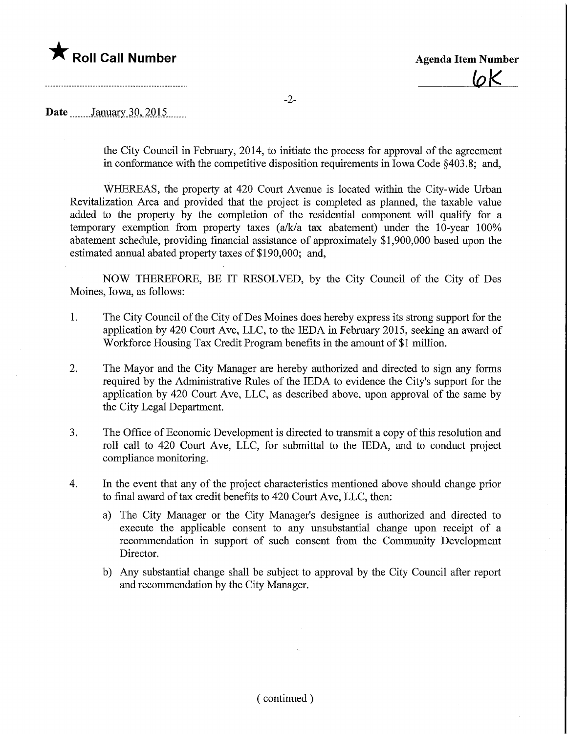

 $\overline{\omega}$ K

## Date ........January.30,\_2Q15.

the City Council in February, 2014, to initiate the process for approval of the agreement in conformance with the competitive disposition requirements in Iowa Code §403.8; and,

WHEREAS, the property at 420 Court Avenue is located within the City-wide Urban Revitalization Area and provided that the project is completed as planned, the taxable value added to the property by the completion of the residential component will qualify for a temporary exemption from property taxes (a/k/a tax abatement) under the 10-year 100% abatement schedule, providing financial assistance of approximately \$1,900,000 based upon the estimated annual abated property taxes of \$190,000; and,

NOW THEREFORE, BE IT RESOLVED, by the City Council of the City of Des Moines, Iowa, as follows:

- 1. The City Council of the City of Des Moines does hereby express its strong support for the application by 420 Court Ave, LLC, to the IEDA in February 2015, seeking an award of Workforce Housing Tax Credit Program benefits in the amount of \$1 million.
- 2. The Mayor and the City Manager are hereby authorized and directed to sign any forms required by the Administrative Rules of the IEDA to evidence the City's support for the application by 420 Court Ave, LLC, as described above, upon approval of the same by the City Legal Department.
- 3. The Office of Economic Development is directed to transmit a copy of this resolution and roll call to 420 Court Ave, LLC, for submittal to the IEDA, and to conduct project compliance monitoring.
- 4. In the event that any of the project characteristics mentioned above should change prior to final award of tax credit benefits to 420 Court Ave, LLC, then:
	- a) The City Manager or the City Manager's designee is authorized and directed to execute the applicable consent to any unsubstantial change upon receipt of a recommendation in support of such consent from the Community Development Director.
	- b) Any substantial change shall be subject to approval by the City Council after report and recommendation by the City Manager.